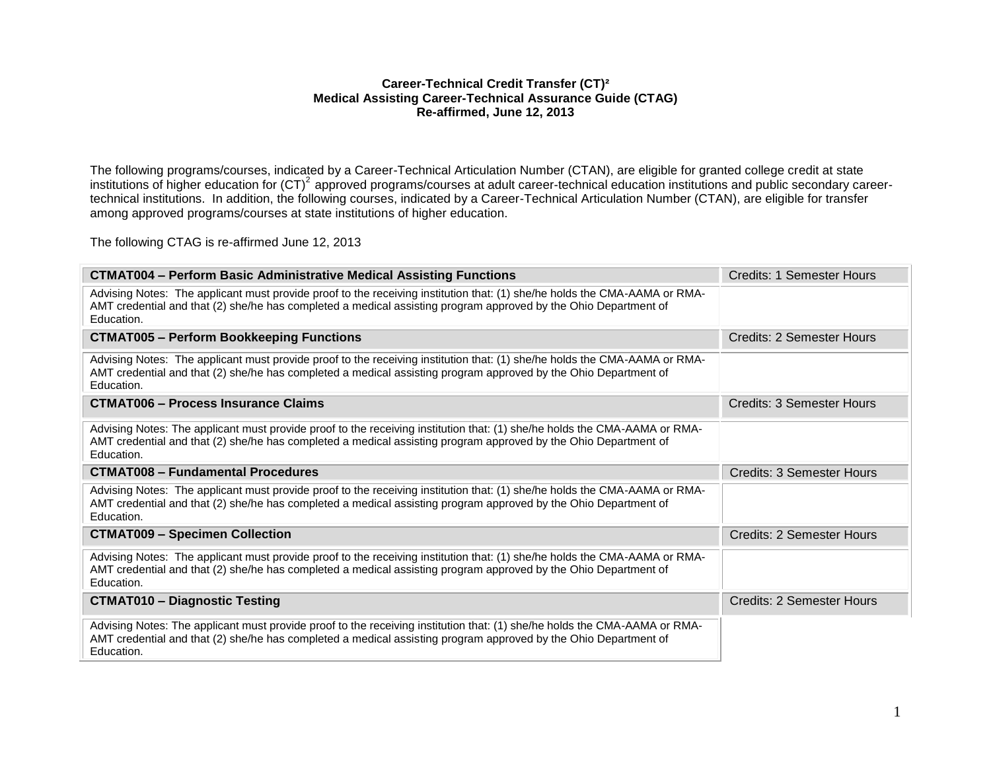### **Career-Technical Credit Transfer (CT)² Medical Assisting Career-Technical Assurance Guide (CTAG) Re-affirmed, June 12, 2013**

The following programs/courses, indicated by a Career-Technical Articulation Number (CTAN), are eligible for granted college credit at state institutions of higher education for (CT)<sup>2</sup> approved programs/courses at adult career-technical education institutions and public secondary careertechnical institutions. In addition, the following courses, indicated by a Career-Technical Articulation Number (CTAN), are eligible for transfer among approved programs/courses at state institutions of higher education.

The following CTAG is re-affirmed June 12, 2013

| <b>CTMAT004 - Perform Basic Administrative Medical Assisting Functions</b>                                                                                                                                                                                 | Credits: 1 Semester Hours        |
|------------------------------------------------------------------------------------------------------------------------------------------------------------------------------------------------------------------------------------------------------------|----------------------------------|
| Advising Notes: The applicant must provide proof to the receiving institution that: (1) she/he holds the CMA-AAMA or RMA-<br>AMT credential and that (2) she/he has completed a medical assisting program approved by the Ohio Department of<br>Education. |                                  |
| <b>CTMAT005 - Perform Bookkeeping Functions</b>                                                                                                                                                                                                            | Credits: 2 Semester Hours        |
| Advising Notes: The applicant must provide proof to the receiving institution that: (1) she/he holds the CMA-AAMA or RMA-<br>AMT credential and that (2) she/he has completed a medical assisting program approved by the Ohio Department of<br>Education. |                                  |
| <b>CTMAT006 - Process Insurance Claims</b>                                                                                                                                                                                                                 | Credits: 3 Semester Hours        |
| Advising Notes: The applicant must provide proof to the receiving institution that: (1) she/he holds the CMA-AAMA or RMA-<br>AMT credential and that (2) she/he has completed a medical assisting program approved by the Ohio Department of<br>Education. |                                  |
| <b>CTMAT008 - Fundamental Procedures</b>                                                                                                                                                                                                                   | <b>Credits: 3 Semester Hours</b> |
| Advising Notes: The applicant must provide proof to the receiving institution that: (1) she/he holds the CMA-AAMA or RMA-<br>AMT credential and that (2) she/he has completed a medical assisting program approved by the Ohio Department of<br>Education. |                                  |
| <b>CTMAT009 - Specimen Collection</b>                                                                                                                                                                                                                      | Credits: 2 Semester Hours        |
| Advising Notes: The applicant must provide proof to the receiving institution that: (1) she/he holds the CMA-AAMA or RMA-<br>AMT credential and that (2) she/he has completed a medical assisting program approved by the Ohio Department of<br>Education. |                                  |
| <b>CTMAT010 - Diagnostic Testing</b>                                                                                                                                                                                                                       | Credits: 2 Semester Hours        |
| Advising Notes: The applicant must provide proof to the receiving institution that: (1) she/he holds the CMA-AAMA or RMA-<br>AMT credential and that (2) she/he has completed a medical assisting program approved by the Ohio Department of<br>Education. |                                  |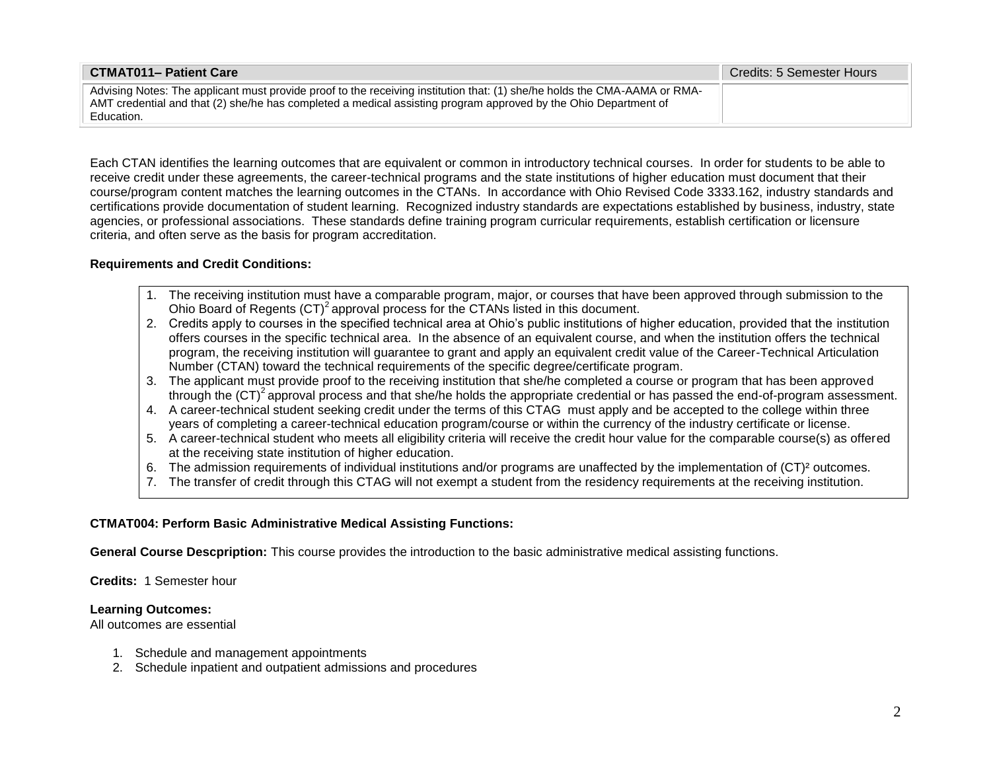| <b>CTMAT011- Patient Care</b>                                                                                                                                                                                                                              | <b>Credits: 5 Semester Hours</b> |
|------------------------------------------------------------------------------------------------------------------------------------------------------------------------------------------------------------------------------------------------------------|----------------------------------|
| Advising Notes: The applicant must provide proof to the receiving institution that: (1) she/he holds the CMA-AAMA or RMA-<br>AMT credential and that (2) she/he has completed a medical assisting program approved by the Ohio Department of<br>Education. |                                  |

Each CTAN identifies the learning outcomes that are equivalent or common in introductory technical courses. In order for students to be able to receive credit under these agreements, the career-technical programs and the state institutions of higher education must document that their course/program content matches the learning outcomes in the CTANs. In accordance with Ohio Revised Code 3333.162, industry standards and certifications provide documentation of student learning. Recognized industry standards are expectations established by business, industry, state agencies, or professional associations. These standards define training program curricular requirements, establish certification or licensure criteria, and often serve as the basis for program accreditation.

### **Requirements and Credit Conditions:**

- 1. The receiving institution must have a comparable program, major, or courses that have been approved through submission to the Ohio Board of Regents  $(CT)^2$  approval process for the CTANs listed in this document.
- 2. Credits apply to courses in the specified technical area at Ohio's public institutions of higher education, provided that the institution offers courses in the specific technical area. In the absence of an equivalent course, and when the institution offers the technical program, the receiving institution will guarantee to grant and apply an equivalent credit value of the Career-Technical Articulation Number (CTAN) toward the technical requirements of the specific degree/certificate program.
- 3. The applicant must provide proof to the receiving institution that she/he completed a course or program that has been approved through the  $(CT)^2$  approval process and that she/he holds the appropriate credential or has passed the end-of-program assessment.
- 4. A career-technical student seeking credit under the terms of this CTAG must apply and be accepted to the college within three years of completing a career-technical education program/course or within the currency of the industry certificate or license.
- 5. A career-technical student who meets all eligibility criteria will receive the credit hour value for the comparable course(s) as offered at the receiving state institution of higher education.
- 6. The admission requirements of individual institutions and/or programs are unaffected by the implementation of (CT)² outcomes.
- 7. The transfer of credit through this CTAG will not exempt a student from the residency requirements at the receiving institution.

## **CTMAT004: Perform Basic Administrative Medical Assisting Functions:**

**General Course Descpription:** This course provides the introduction to the basic administrative medical assisting functions.

**Credits:** 1 Semester hour

## **Learning Outcomes:**

All outcomes are essential

- 1. Schedule and management appointments
- 2. Schedule inpatient and outpatient admissions and procedures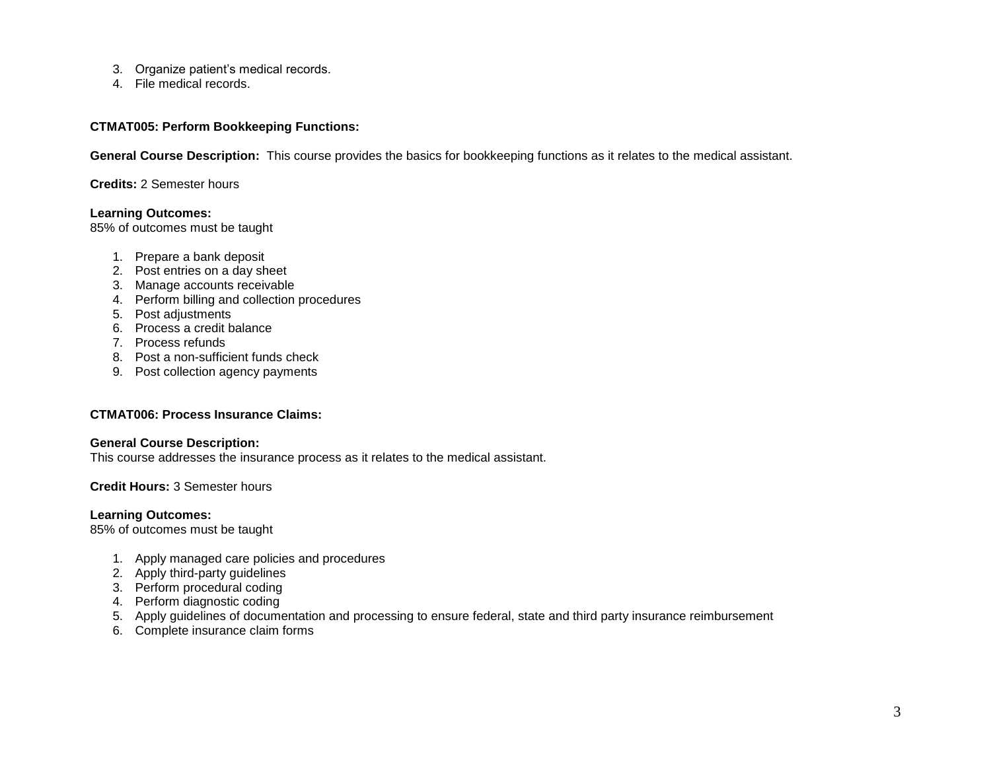- 3. Organize patient's medical records.
- 4. File medical records.

### **CTMAT005: Perform Bookkeeping Functions:**

**General Course Description:** This course provides the basics for bookkeeping functions as it relates to the medical assistant.

**Credits:** 2 Semester hours

### **Learning Outcomes:**

85% of outcomes must be taught

- 1. Prepare a bank deposit
- 2. Post entries on a day sheet
- 3. Manage accounts receivable
- 4. Perform billing and collection procedures
- 5. Post adjustments
- 6. Process a credit balance
- 7. Process refunds
- 8. Post a non-sufficient funds check
- 9. Post collection agency payments

### **CTMAT006: Process Insurance Claims:**

## **General Course Description:**

This course addresses the insurance process as it relates to the medical assistant.

### **Credit Hours:** 3 Semester hours

### **Learning Outcomes:**

85% of outcomes must be taught

- 1. Apply managed care policies and procedures
- 2. Apply third-party guidelines
- 3. Perform procedural coding
- 4. Perform diagnostic coding
- 5. Apply guidelines of documentation and processing to ensure federal, state and third party insurance reimbursement
- 6. Complete insurance claim forms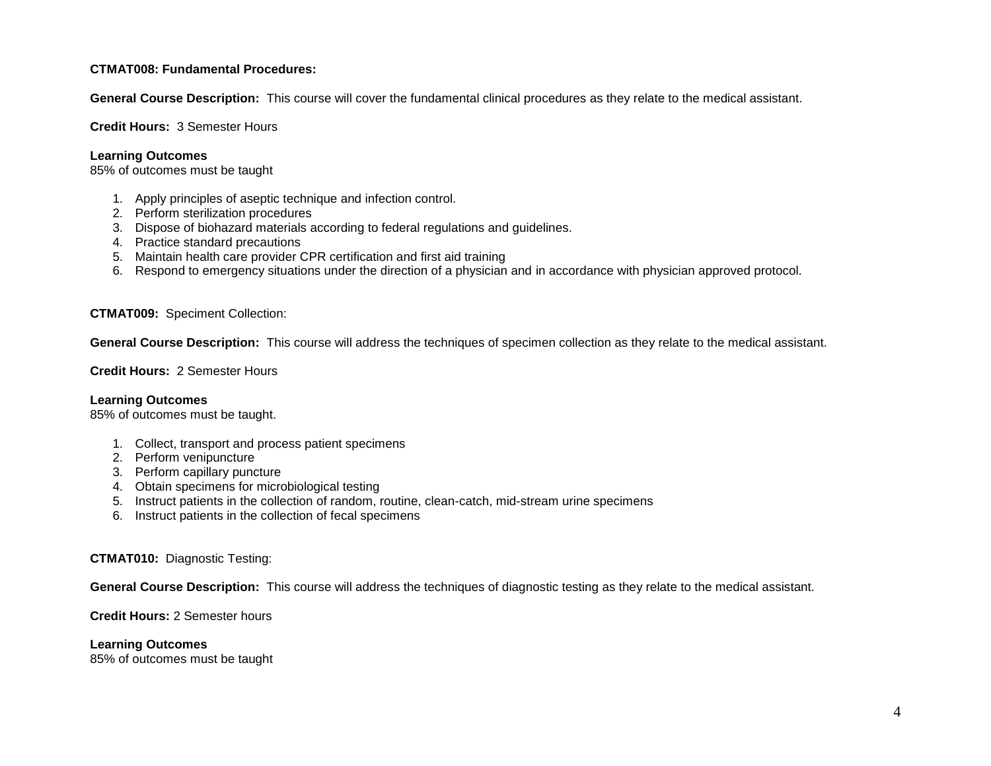## **CTMAT008: Fundamental Procedures:**

**General Course Description:** This course will cover the fundamental clinical procedures as they relate to the medical assistant.

**Credit Hours:** 3 Semester Hours

### **Learning Outcomes**

85% of outcomes must be taught

- 1. Apply principles of aseptic technique and infection control.
- 2. Perform sterilization procedures
- 3. Dispose of biohazard materials according to federal regulations and guidelines.
- 4. Practice standard precautions
- 5. Maintain health care provider CPR certification and first aid training
- 6. Respond to emergency situations under the direction of a physician and in accordance with physician approved protocol.

### **CTMAT009:** Speciment Collection:

**General Course Description:** This course will address the techniques of specimen collection as they relate to the medical assistant.

**Credit Hours:** 2 Semester Hours

### **Learning Outcomes**

85% of outcomes must be taught.

- 1. Collect, transport and process patient specimens
- 2. Perform venipuncture
- 3. Perform capillary puncture
- 4. Obtain specimens for microbiological testing
- 5. Instruct patients in the collection of random, routine, clean-catch, mid-stream urine specimens
- 6. Instruct patients in the collection of fecal specimens

## **CTMAT010:** Diagnostic Testing:

**General Course Description:** This course will address the techniques of diagnostic testing as they relate to the medical assistant.

**Credit Hours:** 2 Semester hours

### **Learning Outcomes**

85% of outcomes must be taught